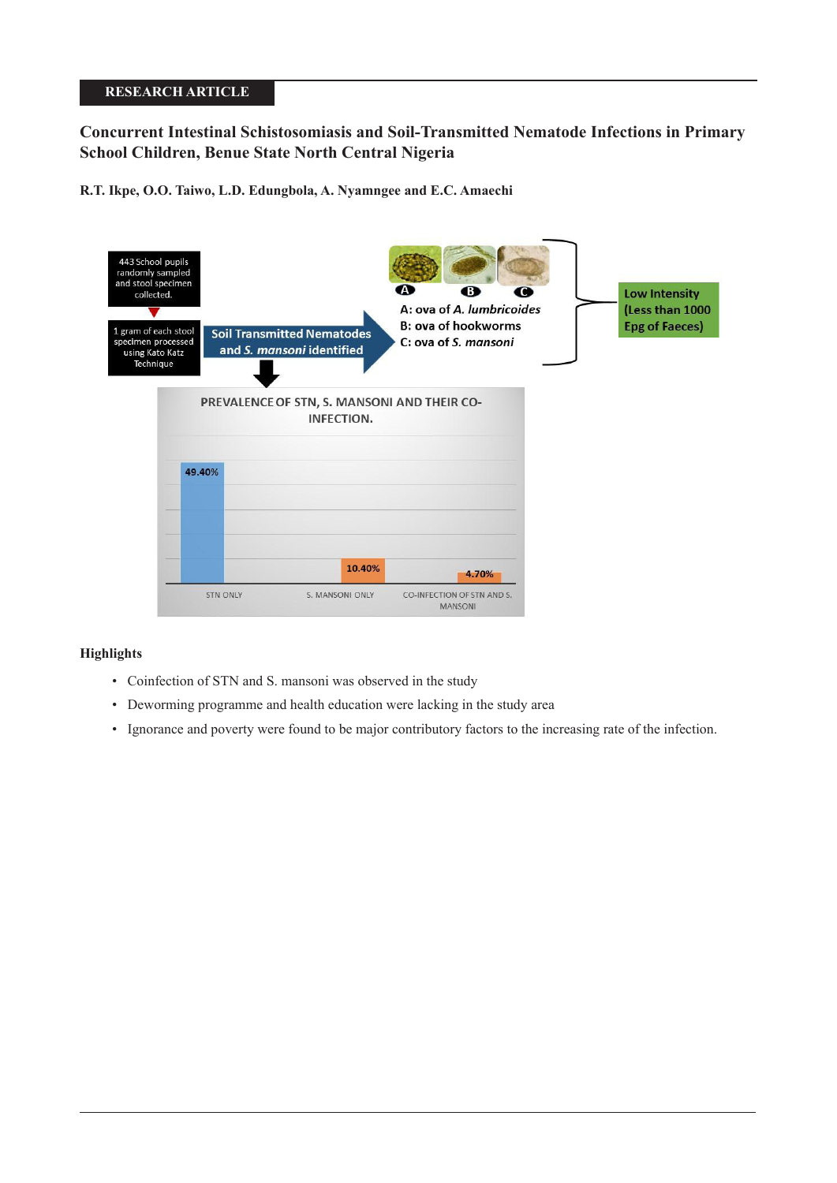# **RESEARCH ARTICLE**

# **Concurrent Intestinal Schistosomiasis and Soil-Transmitted Nematode Infections in Primary School Children, Benue State North Central Nigeria**

**R.T. Ikpe, O.O. Taiwo, L.D. Edungbola, A. Nyamngee and E.C. Amaechi**



# **Highlights**

- Coinfection of STN and S. mansoni was observed in the study
- Deworming programme and health education were lacking in the study area
- Ignorance and poverty were found to be major contributory factors to the increasing rate of the infection.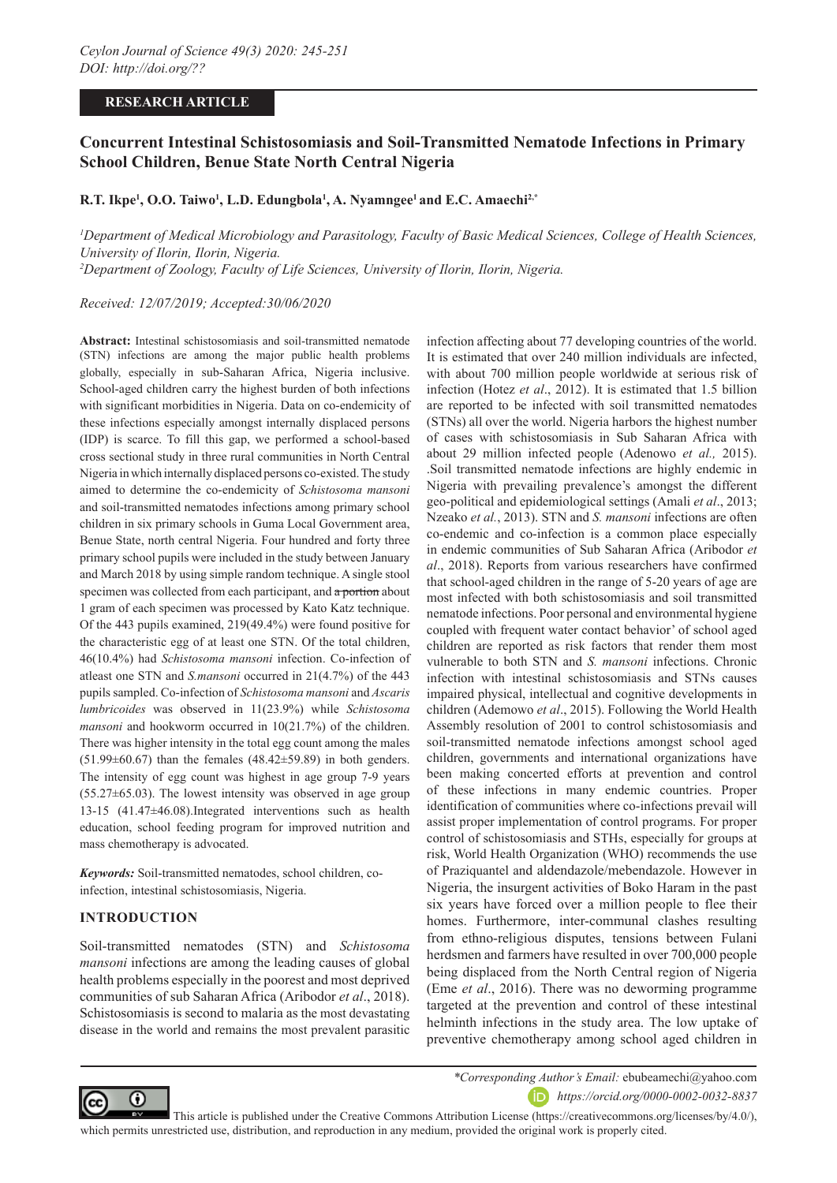### **RESEARCH ARTICLE**

# **Concurrent Intestinal Schistosomiasis and Soil-Transmitted Nematode Infections in Primary School Children, Benue State North Central Nigeria**

# **R.T. Ikpe1 , O.O. Taiwo1 , L.D. Edungbola1 , A. Nyamngee1 and E.C. Amaechi2,\***

*1 Department of Medical Microbiology and Parasitology, Faculty of Basic Medical Sciences, College of Health Sciences, University of Ilorin, Ilorin, Nigeria. 2 Department of Zoology, Faculty of Life Sciences, University of Ilorin, Ilorin, Nigeria.*

*Received: 12/07/2019; Accepted:30/06/2020*

**Abstract:** Intestinal schistosomiasis and soil-transmitted nematode (STN) infections are among the major public health problems globally, especially in sub-Saharan Africa, Nigeria inclusive. School-aged children carry the highest burden of both infections with significant morbidities in Nigeria. Data on co-endemicity of these infections especially amongst internally displaced persons (IDP) is scarce. To fill this gap, we performed a school-based cross sectional study in three rural communities in North Central Nigeria in which internally displaced persons co-existed. The study aimed to determine the co-endemicity of *Schistosoma mansoni*  and soil-transmitted nematodes infections among primary school children in six primary schools in Guma Local Government area, Benue State, north central Nigeria. Four hundred and forty three primary school pupils were included in the study between January and March 2018 by using simple random technique. A single stool specimen was collected from each participant, and a portion about 1 gram of each specimen was processed by Kato Katz technique. Of the 443 pupils examined, 219(49.4%) were found positive for the characteristic egg of at least one STN. Of the total children, 46(10.4%) had *Schistosoma mansoni* infection. Co-infection of atleast one STN and *S.mansoni* occurred in 21(4.7%) of the 443 pupils sampled. Co-infection of *Schistosoma mansoni* and *Ascaris lumbricoides* was observed in 11(23.9%) while *Schistosoma mansoni* and hookworm occurred in 10(21.7%) of the children. There was higher intensity in the total egg count among the males  $(51.99\pm60.67)$  than the females  $(48.42\pm59.89)$  in both genders. The intensity of egg count was highest in age group 7-9 years  $(55.27\pm65.03)$ . The lowest intensity was observed in age group 13-15 (41.47±46.08).Integrated interventions such as health education, school feeding program for improved nutrition and mass chemotherapy is advocated.

*Keywords:* Soil-transmitted nematodes, school children, coinfection, intestinal schistosomiasis, Nigeria.

#### **INTRODUCTION**

Soil-transmitted nematodes (STN) and *Schistosoma mansoni* infections are among the leading causes of global health problems especially in the poorest and most deprived communities of sub Saharan Africa (Aribodor *et al*., 2018). Schistosomiasis is second to malaria as the most devastating disease in the world and remains the most prevalent parasitic infection affecting about 77 developing countries of the world. It is estimated that over 240 million individuals are infected, with about 700 million people worldwide at serious risk of infection (Hotez *et al*., 2012). It is estimated that 1.5 billion are reported to be infected with soil transmitted nematodes (STNs) all over the world. Nigeria harbors the highest number of cases with schistosomiasis in Sub Saharan Africa with about 29 million infected people (Adenowo *et al.,* 2015). .Soil transmitted nematode infections are highly endemic in Nigeria with prevailing prevalence's amongst the different geo-political and epidemiological settings (Amali *et al*., 2013; Nzeako *et al.*, 2013). STN and *S. mansoni* infections are often co-endemic and co-infection is a common place especially in endemic communities of Sub Saharan Africa (Aribodor *et al*., 2018). Reports from various researchers have confirmed that school-aged children in the range of 5-20 years of age are most infected with both schistosomiasis and soil transmitted nematode infections. Poor personal and environmental hygiene coupled with frequent water contact behavior' of school aged children are reported as risk factors that render them most vulnerable to both STN and *S. mansoni* infections. Chronic infection with intestinal schistosomiasis and STNs causes impaired physical, intellectual and cognitive developments in children (Ademowo *et al*., 2015). Following the World Health Assembly resolution of 2001 to control schistosomiasis and soil-transmitted nematode infections amongst school aged children, governments and international organizations have been making concerted efforts at prevention and control of these infections in many endemic countries. Proper identification of communities where co-infections prevail will assist proper implementation of control programs. For proper control of schistosomiasis and STHs, especially for groups at risk, World Health Organization (WHO) recommends the use of Praziquantel and aldendazole/mebendazole. However in Nigeria, the insurgent activities of Boko Haram in the past six years have forced over a million people to flee their homes. Furthermore, inter-communal clashes resulting from ethno-religious disputes, tensions between Fulani herdsmen and farmers have resulted in over 700,000 people being displaced from the North Central region of Nigeria (Eme *et al*., 2016). There was no deworming programme targeted at the prevention and control of these intestinal helminth infections in the study area. The low uptake of preventive chemotherapy among school aged children in



*\*Corresponding Author's Email:* ebubeamechi@yahoo.com *https://orcid.org/0000-0002-0032-8837*

 This article is published under the Creative Commons Attribution License (https://creativecommons.org/licenses/by/4.0/), which permits unrestricted use, distribution, and reproduction in any medium, provided the original work is properly cited.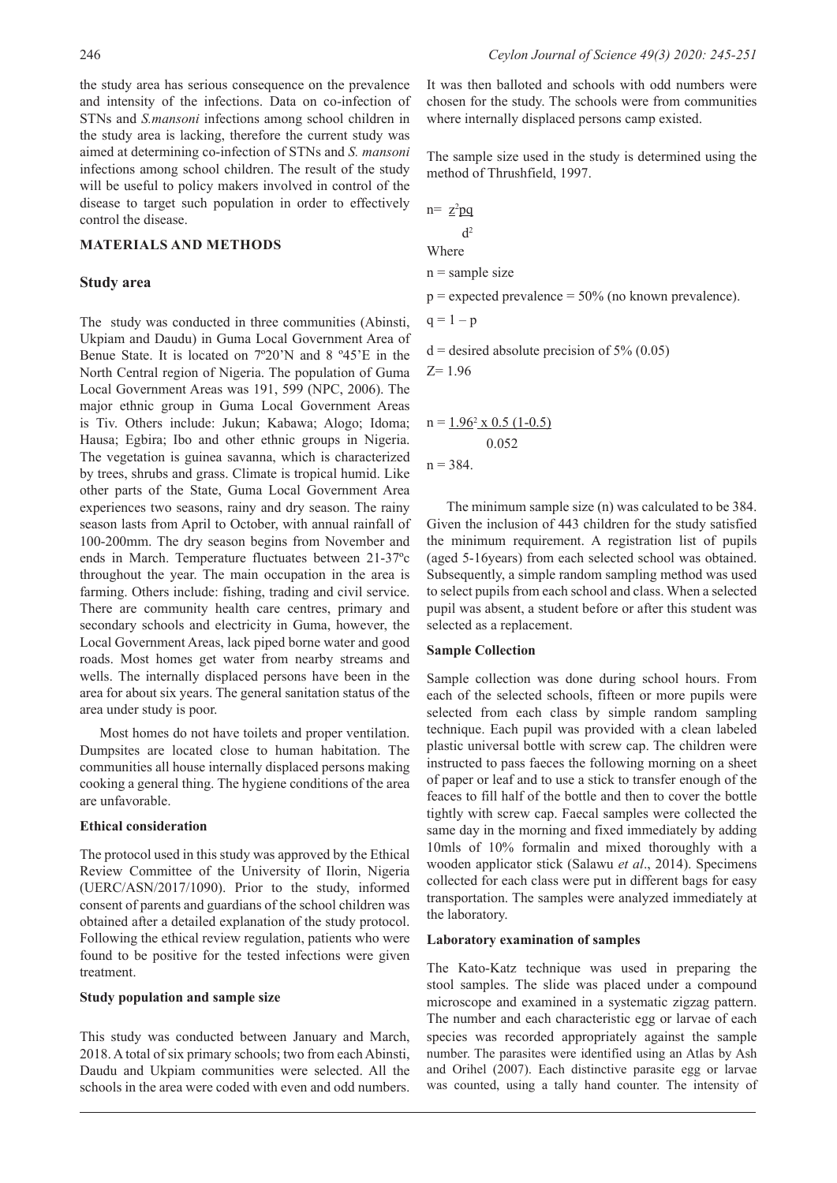the study area has serious consequence on the prevalence and intensity of the infections. Data on co-infection of STNs and *S.mansoni* infections among school children in the study area is lacking, therefore the current study was aimed at determining co-infection of STNs and *S. mansoni* infections among school children. The result of the study will be useful to policy makers involved in control of the disease to target such population in order to effectively control the disease.

# **MATERIALS AND METHODS**

#### **Study area**

The study was conducted in three communities (Abinsti, Ukpiam and Daudu) in Guma Local Government Area of Benue State. It is located on 7º20'N and 8 º45'E in the North Central region of Nigeria. The population of Guma Local Government Areas was 191, 599 (NPC, 2006). The major ethnic group in Guma Local Government Areas is Tiv. Others include: Jukun; Kabawa; Alogo; Idoma; Hausa; Egbira; Ibo and other ethnic groups in Nigeria. The vegetation is guinea savanna, which is characterized by trees, shrubs and grass. Climate is tropical humid. Like other parts of the State, Guma Local Government Area experiences two seasons, rainy and dry season. The rainy season lasts from April to October, with annual rainfall of 100-200mm. The dry season begins from November and ends in March. Temperature fluctuates between 21-37ºc throughout the year. The main occupation in the area is farming. Others include: fishing, trading and civil service. There are community health care centres, primary and secondary schools and electricity in Guma, however, the Local Government Areas, lack piped borne water and good roads. Most homes get water from nearby streams and wells. The internally displaced persons have been in the area for about six years. The general sanitation status of the area under study is poor.

Most homes do not have toilets and proper ventilation. Dumpsites are located close to human habitation. The communities all house internally displaced persons making cooking a general thing. The hygiene conditions of the area are unfavorable.

#### **Ethical consideration**

The protocol used in this study was approved by the Ethical Review Committee of the University of Ilorin, Nigeria (UERC/ASN/2017/1090). Prior to the study, informed consent of parents and guardians of the school children was obtained after a detailed explanation of the study protocol. Following the ethical review regulation, patients who were found to be positive for the tested infections were given treatment.

#### **Study population and sample size**

This study was conducted between January and March, 2018. A total of six primary schools; two from each Abinsti, Daudu and Ukpiam communities were selected. All the schools in the area were coded with even and odd numbers.

It was then balloted and schools with odd numbers were chosen for the study. The schools were from communities where internally displaced persons camp existed.

The sample size used in the study is determined using the method of Thrushfield, 1997.

 $n = z^2pg$  $d<sup>2</sup>$ Where  $n =$ sample size  $p =$  expected prevalence = 50% (no known prevalence).  $q = 1 - p$  $d =$  desired absolute precision of 5% (0.05)  $Z=1.96$  $n = 1.96^2 \times 0.5$  (1-0.5) 0.052

 $n = 384$ .

The minimum sample size (n) was calculated to be 384. Given the inclusion of 443 children for the study satisfied the minimum requirement. A registration list of pupils (aged 5-16years) from each selected school was obtained. Subsequently, a simple random sampling method was used to select pupils from each school and class. When a selected pupil was absent, a student before or after this student was selected as a replacement.

#### **Sample Collection**

Sample collection was done during school hours. From each of the selected schools, fifteen or more pupils were selected from each class by simple random sampling technique. Each pupil was provided with a clean labeled plastic universal bottle with screw cap. The children were instructed to pass faeces the following morning on a sheet of paper or leaf and to use a stick to transfer enough of the feaces to fill half of the bottle and then to cover the bottle tightly with screw cap. Faecal samples were collected the same day in the morning and fixed immediately by adding 10mls of 10% formalin and mixed thoroughly with a wooden applicator stick (Salawu *et al*., 2014). Specimens collected for each class were put in different bags for easy transportation. The samples were analyzed immediately at the laboratory.

#### **Laboratory examination of samples**

The Kato-Katz technique was used in preparing the stool samples. The slide was placed under a compound microscope and examined in a systematic zigzag pattern. The number and each characteristic egg or larvae of each species was recorded appropriately against the sample number. The parasites were identified using an Atlas by Ash and Orihel (2007). Each distinctive parasite egg or larvae was counted, using a tally hand counter. The intensity of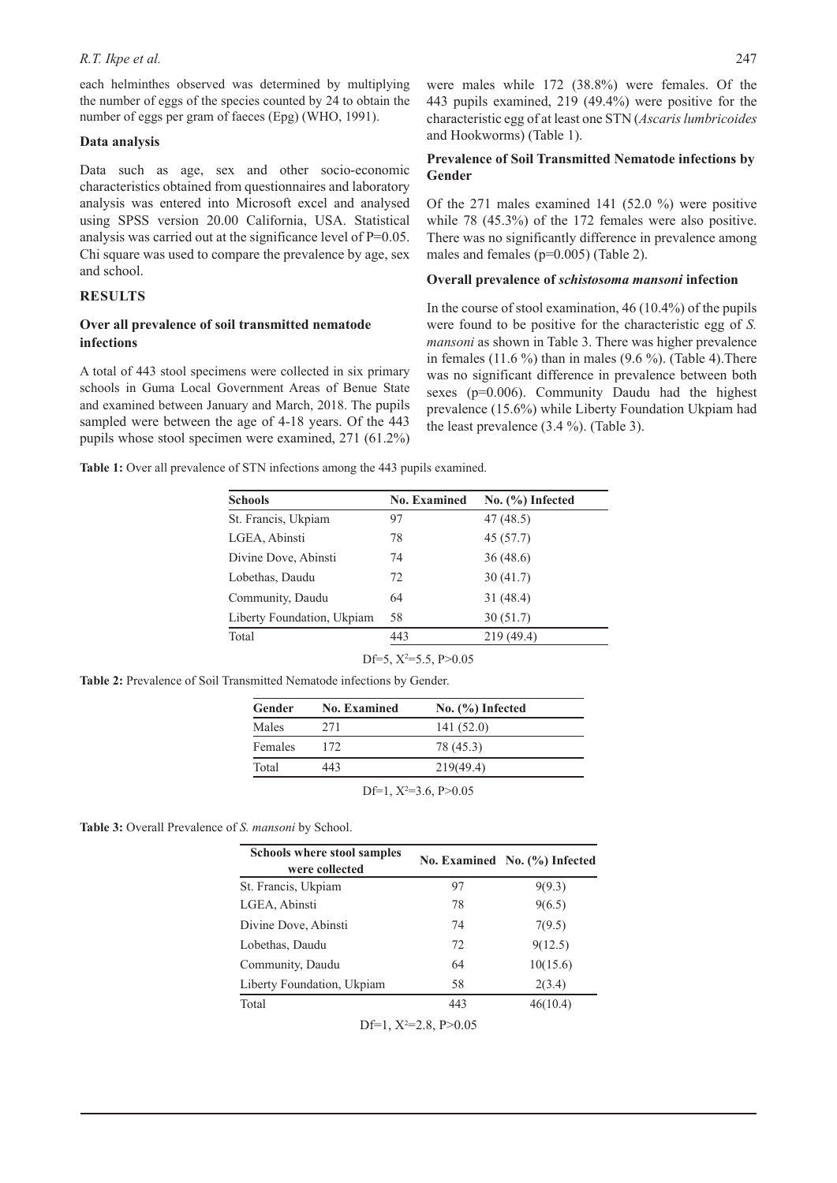#### *R.T. Ikpe et al.* 247

each helminthes observed was determined by multiplying the number of eggs of the species counted by 24 to obtain the number of eggs per gram of faeces (Epg) (WHO, 1991).

#### **Data analysis**

Data such as age, sex and other socio-economic characteristics obtained from questionnaires and laboratory analysis was entered into Microsoft excel and analysed using SPSS version 20.00 California, USA. Statistical analysis was carried out at the significance level of P=0.05. Chi square was used to compare the prevalence by age, sex and school.

# **RESULTS**

## **Over all prevalence of soil transmitted nematode infections**

A total of 443 stool specimens were collected in six primary schools in Guma Local Government Areas of Benue State and examined between January and March, 2018. The pupils sampled were between the age of 4-18 years. Of the 443 pupils whose stool specimen were examined, 271 (61.2%)

were males while 172 (38.8%) were females. Of the 443 pupils examined, 219 (49.4%) were positive for the characteristic egg of at least one STN (*Ascaris lumbricoides* and Hookworms) (Table 1).

### **Prevalence of Soil Transmitted Nematode infections by Gender**

Of the 271 males examined 141 (52.0 %) were positive while 78 (45.3%) of the 172 females were also positive. There was no significantly difference in prevalence among males and females (p=0.005) (Table 2).

#### **Overall prevalence of** *schistosoma mansoni* **infection**

In the course of stool examination, 46 (10.4%) of the pupils were found to be positive for the characteristic egg of *S. mansoni* as shown in Table 3. There was higher prevalence in females  $(11.6\%)$  than in males  $(9.6\%)$ . (Table 4). There was no significant difference in prevalence between both sexes (p=0.006). Community Daudu had the highest prevalence (15.6%) while Liberty Foundation Ukpiam had the least prevalence (3.4 %). (Table 3).

Table 1: Over all prevalence of STN infections among the 443 pupils examined.

| <b>No. Examined</b> | No. (%) Infected |
|---------------------|------------------|
| 97                  | 47(48.5)         |
| 78                  | 45(57.7)         |
| 74                  | 36(48.6)         |
| 72                  | 30(41.7)         |
| 64                  | 31(48.4)         |
| 58                  | 30(51.7)         |
| 443                 | 219(49.4)        |
|                     |                  |

| Df=5, $X^2$ =5.5, P>0.05 |  |
|--------------------------|--|
|                          |  |

**Table 2:** Prevalence of Soil Transmitted Nematode infections by Gender.

| Gender  | <b>No. Examined</b> | No. (%) Infected           |
|---------|---------------------|----------------------------|
| Males   | 2.71                | 141(52.0)                  |
| Females | 172                 | 78 (45.3)                  |
| Total   | 443                 | 219(49.4)                  |
|         |                     | Df=1, $X^2=3.6$ , $P>0.05$ |

**Table 3:** Overall Prevalence of *S. mansoni* by School.

| <b>Schools where stool samples</b><br>were collected |     | No. Examined No. (%) Infected |
|------------------------------------------------------|-----|-------------------------------|
| St. Francis, Ukpiam                                  | 97  | 9(9.3)                        |
| LGEA, Abinsti                                        | 78  | 9(6.5)                        |
| Divine Dove, Abinsti                                 | 74  | 7(9.5)                        |
| Lobethas, Daudu                                      | 72  | 9(12.5)                       |
| Community, Daudu                                     | 64  | 10(15.6)                      |
| Liberty Foundation, Ukpiam                           | 58  | 2(3.4)                        |
| Total                                                | 443 | 46(10.4)                      |

Df=1,  $X^2$ =2.8, P>0.05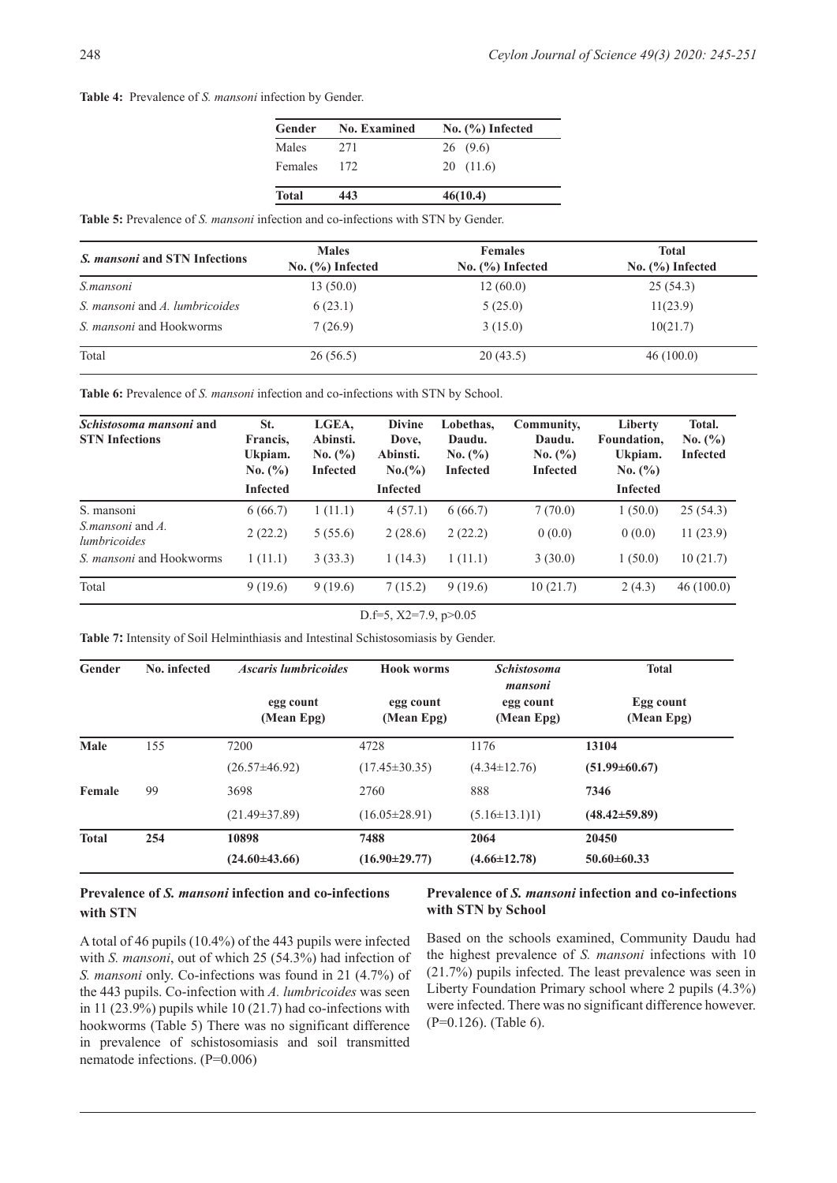#### **Table 4:** Prevalence of *S. mansoni* infection by Gender.

| Gender         | <b>No. Examined</b> | $No.$ (%) Infected |
|----------------|---------------------|--------------------|
| Males          | 271                 | 26(9.6)            |
| <b>Females</b> | 172                 | 20(11.6)           |
| <b>Total</b>   | 443                 | 46(10.4)           |

**Table 5:** Prevalence of *S. mansoni* infection and co-infections with STN by Gender.

| <i>S. mansoni</i> and STN Infections | <b>Males</b><br>No. $(\%)$ Infected | <b>Females</b><br>No. $(\%)$ Infected | <b>Total</b><br>No. $(\% )$ Infected |
|--------------------------------------|-------------------------------------|---------------------------------------|--------------------------------------|
| S.mansoni                            | 13(50.0)                            | 12(60.0)                              | 25(54.3)                             |
| S. mansoni and A. lumbricoides       | 6(23.1)                             | 5(25.0)                               | 11(23.9)                             |
| S. <i>mansoni</i> and Hookworms      | 7(26.9)                             | 3(15.0)                               | 10(21.7)                             |
| Total                                | 26(56.5)                            | 20(43.5)                              | 46(100.0)                            |

Table 6: Prevalence of *S. mansoni* infection and co-infections with STN by School.

| Schistosoma mansoni and<br><b>STN</b> Infections | St.<br>Francis,<br>Ukpiam.<br>No. (%)<br><b>Infected</b> | LGEA,<br>Abinsti.<br>No. (%)<br><b>Infected</b> | <b>Divine</b><br>Dove,<br>Abinsti.<br>No.(%)<br><b>Infected</b> | Lobethas,<br>Daudu.<br>No. (%)<br><b>Infected</b> | Community,<br>Daudu.<br>No. (%)<br><b>Infected</b> | Liberty<br>Foundation,<br>Ukpiam.<br>No. (%)<br><b>Infected</b> | Total.<br>No. (%)<br><b>Infected</b> |
|--------------------------------------------------|----------------------------------------------------------|-------------------------------------------------|-----------------------------------------------------------------|---------------------------------------------------|----------------------------------------------------|-----------------------------------------------------------------|--------------------------------------|
| S. mansoni                                       | 6(66.7)                                                  | 1(11.1)                                         | 4(57.1)                                                         | 6(66.7)                                           | 7(70.0)                                            | 1(50.0)                                                         | 25(54.3)                             |
| <i>S. mansoni</i> and A.<br><i>lumbricoides</i>  | 2(22.2)                                                  | 5(55.6)                                         | 2(28.6)                                                         | 2(22.2)                                           | 0(0.0)                                             | 0(0.0)                                                          | 11(23.9)                             |
| S. <i>mansoni</i> and Hookworms                  | 1(11.1)                                                  | 3(33.3)                                         | 1(14.3)                                                         | 1(11.1)                                           | 3(30.0)                                            | 1(50.0)                                                         | 10(21.7)                             |
| Total                                            | 9(19.6)                                                  | 9(19.6)                                         | 7(15.2)                                                         | 9(19.6)                                           | 10(21.7)                                           | 2(4.3)                                                          | 46(100.0)                            |

#### D.f=5, X2=7.9, p>0.05

**Table 7:** Intensity of Soil Helminthiasis and Intestinal Schistosomiasis by Gender.

| Gender       | No. infected | <b>Ascaris lumbricoides</b> | <b>Hook worms</b>       | <b>Schistosoma</b><br>mansoni | <b>Total</b>            |  |
|--------------|--------------|-----------------------------|-------------------------|-------------------------------|-------------------------|--|
|              |              | egg count<br>(Mean Epg)     | egg count<br>(Mean Epg) | egg count<br>(Mean Epg)       | Egg count<br>(Mean Epg) |  |
| Male         | 155          | 7200                        | 4728                    | 1176                          | 13104                   |  |
|              |              | $(26.57 \pm 46.92)$         | $(17.45 \pm 30.35)$     | $(4.34 \pm 12.76)$            | $(51.99 \pm 60.67)$     |  |
| Female       | 99           | 3698                        | 2760                    | 888                           | 7346                    |  |
|              |              | $(21.49 \pm 37.89)$         | $(16.05 \pm 28.91)$     | $(5.16 \pm 13.1)1)$           | $(48.42 \pm 59.89)$     |  |
| <b>Total</b> | 254          | 10898                       | 7488                    | 2064                          | 20450                   |  |
|              |              | $(24.60 \pm 43.66)$         | $(16.90 \pm 29.77)$     | $(4.66 \pm 12.78)$            | $50.60 \pm 60.33$       |  |

# **Prevalence of** *S. mansoni* **infection and co-infections with STN**

# **Prevalence of** *S. mansoni* **infection and co-infections with STN by School**

A total of 46 pupils (10.4%) of the 443 pupils were infected with *S. mansoni*, out of which 25 (54.3%) had infection of *S. mansoni* only. Co-infections was found in 21 (4.7%) of the 443 pupils. Co-infection with *A. lumbricoides* was seen in 11 (23.9%) pupils while 10 (21.7) had co-infections with hookworms (Table 5) There was no significant difference in prevalence of schistosomiasis and soil transmitted nematode infections. (P=0.006)

Based on the schools examined, Community Daudu had the highest prevalence of *S. mansoni* infections with 10 (21.7%) pupils infected. The least prevalence was seen in Liberty Foundation Primary school where 2 pupils (4.3%) were infected. There was no significant difference however. (P=0.126). (Table 6).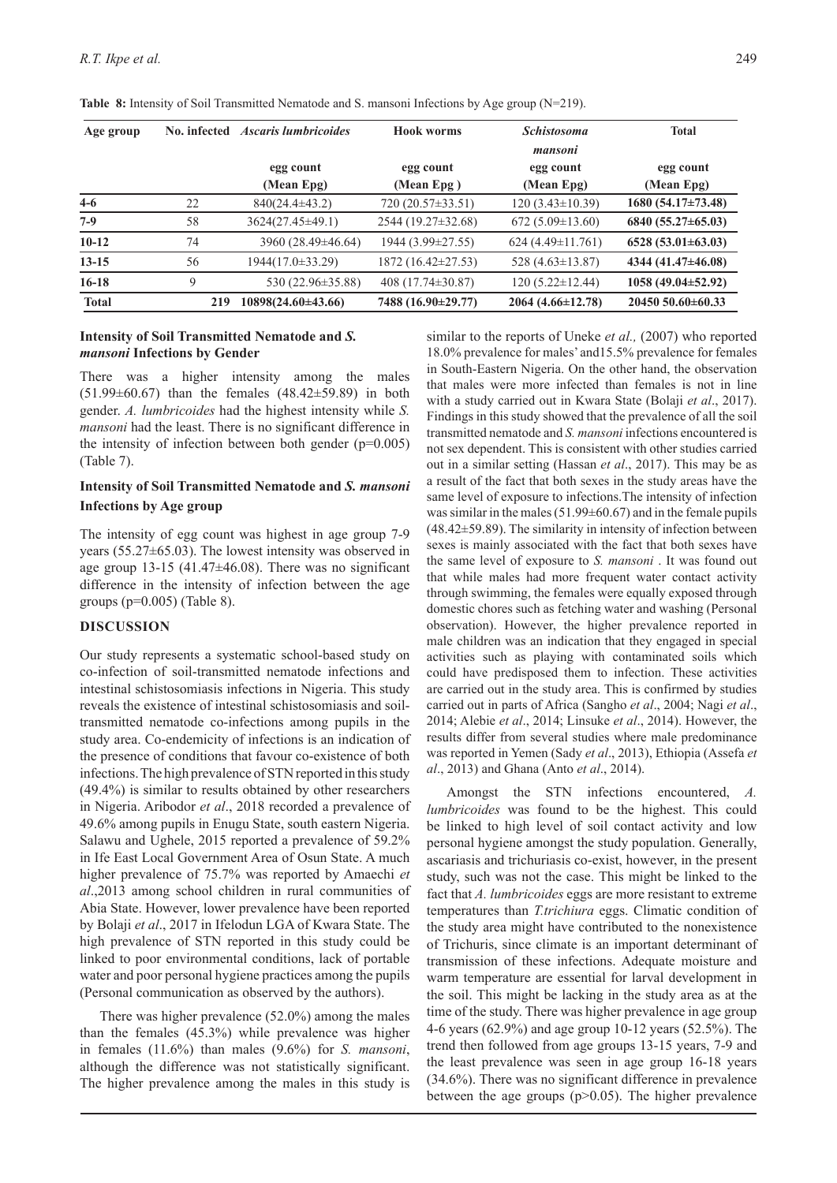| Age group    | No. infected | <i><b>Ascaris lumbricoides</b></i> | <b>Hook worms</b>       | <b>Schistosoma</b><br>mansoni | <b>Total</b>             |
|--------------|--------------|------------------------------------|-------------------------|-------------------------------|--------------------------|
|              |              | egg count<br>(Mean Epg)            | egg count<br>(Mean Epg) | egg count<br>(Mean Epg)       | egg count<br>(Mean Epg)  |
| $4-6$        | 22           | $840(24.4\pm43.2)$                 | $720(20.57\pm33.51)$    | $120(3.43\pm10.39)$           | $1680(54.17\pm73.48)$    |
| $7-9$        | 58           | 3624(27.45±49.1)                   | 2544 (19.27±32.68)      | $672(5.09\pm13.60)$           | $6840 (55.27 \pm 65.03)$ |
| $10-12$      | 74           | 3960 (28.49±46.64)                 | 1944 (3.99±27.55)       | $624(4.49\pm11.761)$          | $6528(53.01 \pm 63.03)$  |
| $13 - 15$    | 56           | 1944(17.0±33.29)                   | 1872 (16.42±27.53)      | 528 $(4.63 \pm 13.87)$        | 4344 (41.47±46.08)       |
| $16-18$      | 9            | 530 (22.96±35.88)                  | 408 $(17.74 \pm 30.87)$ | $120(5.22 \pm 12.44)$         | $1058(49.04\pm52.92)$    |
| <b>Total</b> | 219          | 10898(24.60±43.66)                 | 7488 (16.90±29.77)      | $2064(4.66\pm12.78)$          | $2045050.60\pm 60.33$    |

**Table 8:** Intensity of Soil Transmitted Nematode and S. mansoni Infections by Age group (N=219).

# **Intensity of Soil Transmitted Nematode and** *S. mansoni* **Infections by Gender**

There was a higher intensity among the males (51.99±60.67) than the females (48.42±59.89) in both gender. *A. lumbricoides* had the highest intensity while *S. mansoni* had the least. There is no significant difference in the intensity of infection between both gender  $(p=0.005)$ (Table 7).

# **Intensity of Soil Transmitted Nematode and** *S. mansoni*  **Infections by Age group**

The intensity of egg count was highest in age group 7-9 years (55.27±65.03). The lowest intensity was observed in age group 13-15 (41.47±46.08). There was no significant difference in the intensity of infection between the age groups (p=0.005) (Table 8).

#### **DISCUSSION**

Our study represents a systematic school-based study on co-infection of soil-transmitted nematode infections and intestinal schistosomiasis infections in Nigeria. This study reveals the existence of intestinal schistosomiasis and soiltransmitted nematode co-infections among pupils in the study area. Co-endemicity of infections is an indication of the presence of conditions that favour co-existence of both infections. The high prevalence of STN reported in this study (49.4%) is similar to results obtained by other researchers in Nigeria. Aribodor *et al*., 2018 recorded a prevalence of 49.6% among pupils in Enugu State, south eastern Nigeria. Salawu and Ughele, 2015 reported a prevalence of 59.2% in Ife East Local Government Area of Osun State. A much higher prevalence of 75.7% was reported by Amaechi *et al*.,2013 among school children in rural communities of Abia State. However, lower prevalence have been reported by Bolaji *et al*., 2017 in Ifelodun LGA of Kwara State. The high prevalence of STN reported in this study could be linked to poor environmental conditions, lack of portable water and poor personal hygiene practices among the pupils (Personal communication as observed by the authors).

There was higher prevalence (52.0%) among the males than the females (45.3%) while prevalence was higher in females (11.6%) than males (9.6%) for *S. mansoni*, although the difference was not statistically significant. The higher prevalence among the males in this study is similar to the reports of Uneke *et al.,* (2007) who reported 18.0% prevalence for males' and15.5% prevalence for females in South-Eastern Nigeria. On the other hand, the observation that males were more infected than females is not in line with a study carried out in Kwara State (Bolaji *et al*., 2017). Findings in this study showed that the prevalence of all the soil transmitted nematode and *S. mansoni* infections encountered is not sex dependent. This is consistent with other studies carried out in a similar setting (Hassan *et al*., 2017). This may be as a result of the fact that both sexes in the study areas have the same level of exposure to infections.The intensity of infection was similar in the males (51.99±60.67) and in the female pupils (48.42±59.89). The similarity in intensity of infection between sexes is mainly associated with the fact that both sexes have the same level of exposure to *S. mansoni* . It was found out that while males had more frequent water contact activity through swimming, the females were equally exposed through domestic chores such as fetching water and washing (Personal observation). However, the higher prevalence reported in male children was an indication that they engaged in special activities such as playing with contaminated soils which could have predisposed them to infection. These activities are carried out in the study area. This is confirmed by studies carried out in parts of Africa (Sangho *et al*., 2004; Nagi *et al*., 2014; Alebie *et al*., 2014; Linsuke *et al*., 2014). However, the results differ from several studies where male predominance was reported in Yemen (Sady *et al*., 2013), Ethiopia (Assefa *et al*., 2013) and Ghana (Anto *et al*., 2014).

Amongst the STN infections encountered, *A. lumbricoides* was found to be the highest. This could be linked to high level of soil contact activity and low personal hygiene amongst the study population. Generally, ascariasis and trichuriasis co-exist, however, in the present study, such was not the case. This might be linked to the fact that *A. lumbricoides* eggs are more resistant to extreme temperatures than *T.trichiura* eggs. Climatic condition of the study area might have contributed to the nonexistence of Trichuris, since climate is an important determinant of transmission of these infections. Adequate moisture and warm temperature are essential for larval development in the soil. This might be lacking in the study area as at the time of the study. There was higher prevalence in age group 4-6 years (62.9%) and age group 10-12 years (52.5%). The trend then followed from age groups 13-15 years, 7-9 and the least prevalence was seen in age group 16-18 years (34.6%). There was no significant difference in prevalence between the age groups  $(p>0.05)$ . The higher prevalence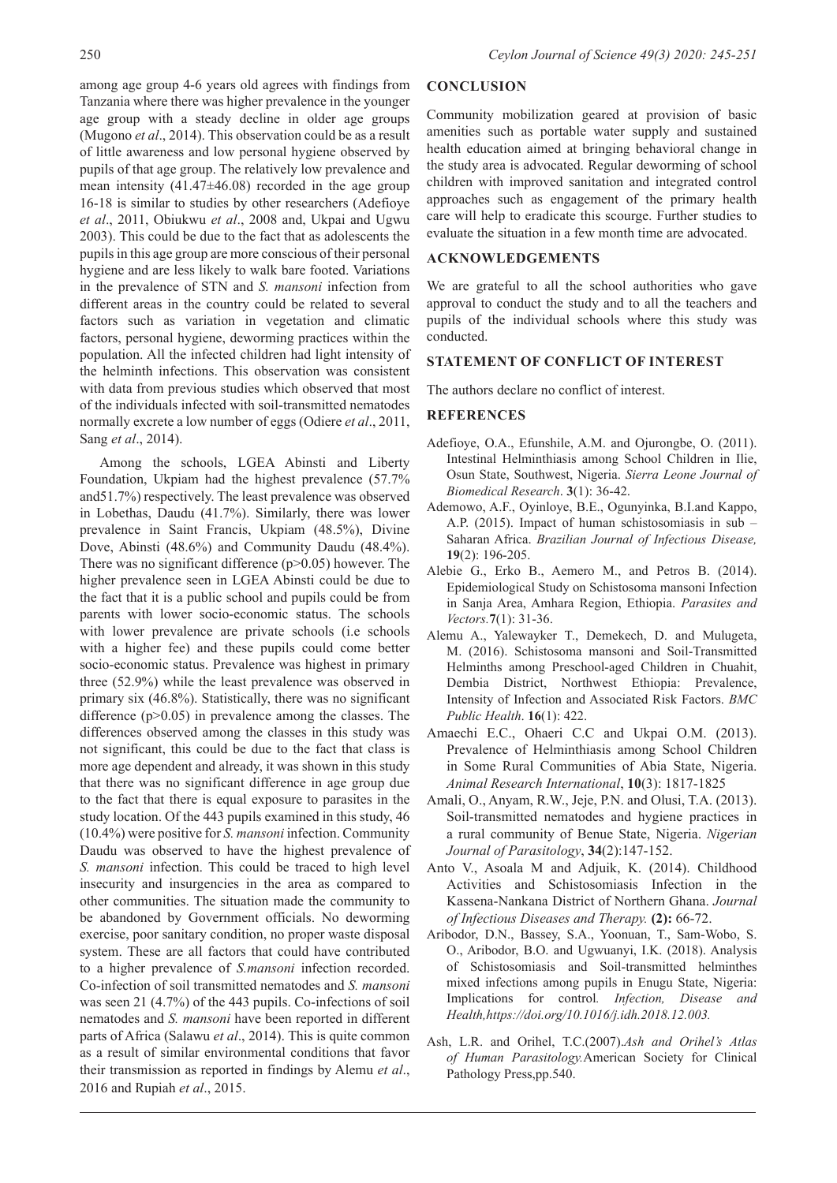among age group 4-6 years old agrees with findings from Tanzania where there was higher prevalence in the younger age group with a steady decline in older age groups (Mugono *et al*., 2014). This observation could be as a result of little awareness and low personal hygiene observed by pupils of that age group. The relatively low prevalence and mean intensity  $(41.47\pm46.08)$  recorded in the age group 16-18 is similar to studies by other researchers (Adefioye *et al*., 2011, Obiukwu *et al*., 2008 and, Ukpai and Ugwu 2003). This could be due to the fact that as adolescents the pupils in this age group are more conscious of their personal hygiene and are less likely to walk bare footed. Variations in the prevalence of STN and *S. mansoni* infection from different areas in the country could be related to several factors such as variation in vegetation and climatic factors, personal hygiene, deworming practices within the population. All the infected children had light intensity of the helminth infections. This observation was consistent with data from previous studies which observed that most of the individuals infected with soil-transmitted nematodes normally excrete a low number of eggs (Odiere *et al*., 2011, Sang *et al*., 2014).

Among the schools, LGEA Abinsti and Liberty Foundation, Ukpiam had the highest prevalence (57.7% and51.7%) respectively. The least prevalence was observed in Lobethas, Daudu (41.7%). Similarly, there was lower prevalence in Saint Francis, Ukpiam (48.5%), Divine Dove, Abinsti (48.6%) and Community Daudu (48.4%). There was no significant difference (p>0.05) however. The higher prevalence seen in LGEA Abinsti could be due to the fact that it is a public school and pupils could be from parents with lower socio-economic status. The schools with lower prevalence are private schools (i.e schools with a higher fee) and these pupils could come better socio-economic status. Prevalence was highest in primary three (52.9%) while the least prevalence was observed in primary six (46.8%). Statistically, there was no significant difference (p>0.05) in prevalence among the classes. The differences observed among the classes in this study was not significant, this could be due to the fact that class is more age dependent and already, it was shown in this study that there was no significant difference in age group due to the fact that there is equal exposure to parasites in the study location. Of the 443 pupils examined in this study, 46 (10.4%) were positive for *S. mansoni* infection. Community Daudu was observed to have the highest prevalence of *S. mansoni* infection. This could be traced to high level insecurity and insurgencies in the area as compared to other communities. The situation made the community to be abandoned by Government officials. No deworming exercise, poor sanitary condition, no proper waste disposal system. These are all factors that could have contributed to a higher prevalence of *S.mansoni* infection recorded. Co-infection of soil transmitted nematodes and *S. mansoni* was seen 21 (4.7%) of the 443 pupils. Co-infections of soil nematodes and *S. mansoni* have been reported in different parts of Africa (Salawu *et al*., 2014). This is quite common as a result of similar environmental conditions that favor their transmission as reported in findings by Alemu *et al*., 2016 and Rupiah *et al*., 2015.

## **CONCLUSION**

Community mobilization geared at provision of basic amenities such as portable water supply and sustained health education aimed at bringing behavioral change in the study area is advocated. Regular deworming of school children with improved sanitation and integrated control approaches such as engagement of the primary health care will help to eradicate this scourge. Further studies to evaluate the situation in a few month time are advocated.

### **ACKNOWLEDGEMENTS**

We are grateful to all the school authorities who gave approval to conduct the study and to all the teachers and pupils of the individual schools where this study was conducted.

#### **STATEMENT OF CONFLICT OF INTEREST**

The authors declare no conflict of interest.

### **REFERENCES**

- Adefioye, O.A., Efunshile, A.M. and Ojurongbe, O. (2011). Intestinal Helminthiasis among School Children in Ilie, Osun State, Southwest, Nigeria. *Sierra Leone Journal of Biomedical Research*. **3**(1): 36-42.
- Ademowo, A.F., Oyinloye, B.E., Ogunyinka, B.I.and Kappo, A.P. (2015). Impact of human schistosomiasis in sub – Saharan Africa. *Brazilian Journal of Infectious Disease,*  **19**(2): 196-205.
- Alebie G., Erko B., Aemero M., and Petros B. (2014). Epidemiological Study on Schistosoma mansoni Infection in Sanja Area, Amhara Region, Ethiopia. *Parasites and Vectors.***7**(1): 31-36.
- Alemu A., Yalewayker T., Demekech, D. and Mulugeta, M. (2016). Schistosoma mansoni and Soil-Transmitted Helminths among Preschool-aged Children in Chuahit, Dembia District, Northwest Ethiopia: Prevalence, Intensity of Infection and Associated Risk Factors. *BMC Public Health*. **16**(1): 422.
- Amaechi E.C., Ohaeri C.C and Ukpai O.M. (2013). Prevalence of Helminthiasis among School Children in Some Rural Communities of Abia State, Nigeria. *Animal Research International*, **10**(3): 1817-1825
- Amali, O., Anyam, R.W., Jeje, P.N. and Olusi, T.A. (2013). Soil-transmitted nematodes and hygiene practices in a rural community of Benue State, Nigeria. *Nigerian Journal of Parasitology*, **34**(2):147-152.
- Anto V., Asoala M and Adjuik, K. (2014). Childhood Activities and Schistosomiasis Infection in the Kassena-Nankana District of Northern Ghana. *Journal of Infectious Diseases and Therapy.* **(2):** 66-72.
- Aribodor, D.N., Bassey, S.A., Yoonuan, T., Sam-Wobo, S. O., Aribodor, B.O. and Ugwuanyi, I.K. (2018). Analysis of Schistosomiasis and Soil-transmitted helminthes mixed infections among pupils in Enugu State, Nigeria: Implications for control*. Infection, Disease and Health,https://doi.org/10.1016/j.idh.2018.12.003.*
- Ash, L.R. and Orihel, T.C.(2007).*Ash and Orihel's Atlas of Human Parasitology.*American Society for Clinical Pathology Press,pp.540.